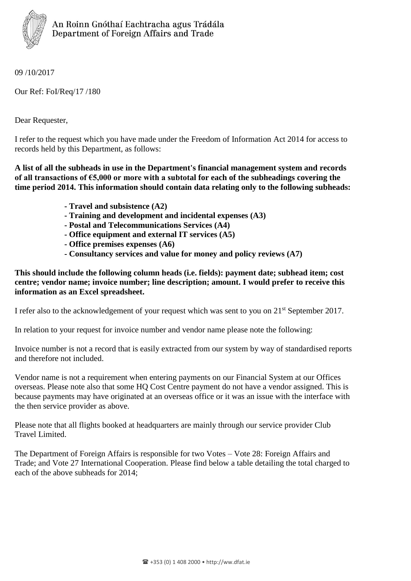

09 /10/2017

Our Ref: FoI/Req/17 /180

Dear Requester,

I refer to the request which you have made under the Freedom of Information Act 2014 for access to records held by this Department, as follows:

**A list of all the subheads in use in the Department's financial management system and records of all transactions of €5,000 or more with a subtotal for each of the subheadings covering the time period 2014. This information should contain data relating only to the following subheads:**

- **- Travel and subsistence (A2)**
- **- Training and development and incidental expenses (A3)**
- **- Postal and Telecommunications Services (A4)**
- **- Office equipment and external IT services (A5)**
- **- Office premises expenses (A6)**
- **- Consultancy services and value for money and policy reviews (A7)**

**This should include the following column heads (i.e. fields): payment date; subhead item; cost centre; vendor name; invoice number; line description; amount. I would prefer to receive this information as an Excel spreadsheet.**

I refer also to the acknowledgement of your request which was sent to you on 21st September 2017.

In relation to your request for invoice number and vendor name please note the following:

Invoice number is not a record that is easily extracted from our system by way of standardised reports and therefore not included.

Vendor name is not a requirement when entering payments on our Financial System at our Offices overseas. Please note also that some HQ Cost Centre payment do not have a vendor assigned. This is because payments may have originated at an overseas office or it was an issue with the interface with the then service provider as above.

Please note that all flights booked at headquarters are mainly through our service provider Club Travel Limited.

The Department of Foreign Affairs is responsible for two Votes – Vote 28: Foreign Affairs and Trade; and Vote 27 International Cooperation. Please find below a table detailing the total charged to each of the above subheads for 2014;